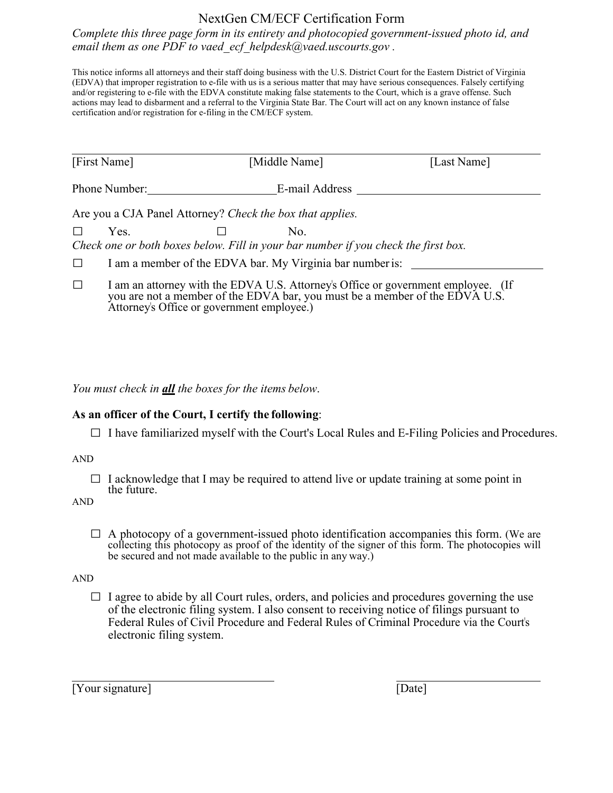## NextGen CM/ECF Certification Form

*Complete this three page form in its entirety and photocopied government-issued photo id, and email them as one PDF to vaed\_ecf\_helpdesk@vaed.uscourts.gov .* 

This notice informs all attorneys and their staff doing business with the U.S. District Court for the Eastern District of Virginia (EDVA) that improper registration to e-file with us is a serious matter that may have serious consequences. Falsely certifying and/or registering to e-file with the EDVA constitute making false statements to the Court, which is a grave offense. Such actions may lead to disbarment and a referral to the Virginia State Bar. The Court will act on any known instance of false certification and/or registration for e-filing in the CM/ECF system.

|                                                           | [First Name]  | [Middle Name]                                                                                                                                                        |                | [Last Name] |  |
|-----------------------------------------------------------|---------------|----------------------------------------------------------------------------------------------------------------------------------------------------------------------|----------------|-------------|--|
|                                                           | Phone Number: |                                                                                                                                                                      | E-mail Address |             |  |
| Are you a CJA Panel Attorney? Check the box that applies. |               |                                                                                                                                                                      |                |             |  |
|                                                           | Yes.          | No.<br>Check one or both boxes below. Fill in your bar number if you check the first box.                                                                            |                |             |  |
| I am a member of the EDVA bar. My Virginia bar number is: |               |                                                                                                                                                                      |                |             |  |
|                                                           |               | I am an attorney with the EDVA U.S. Attorney's Office or government employee. (If<br>you are not a member of the $FDNA$ bar, you must be a member of the $FDNA$ II S |                |             |  |

member of the EDVA bar, you must be a member of the EDVA U.S. Attorney's Office or government employee.)

*You must check in all the boxes for the items below*.

## **As an officer of the Court, I certify the following**:

 $\Box$  I have familiarized myself with the Court's Local Rules and E-Filing Policies and Procedures.

AND

 $\Box$  I acknowledge that I may be required to attend live or update training at some point in the future.

AND

 $\Box$  A photocopy of a government-issued photo identification accompanies this form. (We are collecting this photocopy as proof of the identity of the signer of this form. The photocopies will be secured and not made available to the public in any way.)

AND

 $\Box$  I agree to abide by all Court rules, orders, and policies and procedures governing the use of the electronic filing system. I also consent to receiving notice of filings pursuant to Federal Rules of Civil Procedure and Federal Rules of Criminal Procedure via the Court's electronic filing system.

[Your signature] [Date]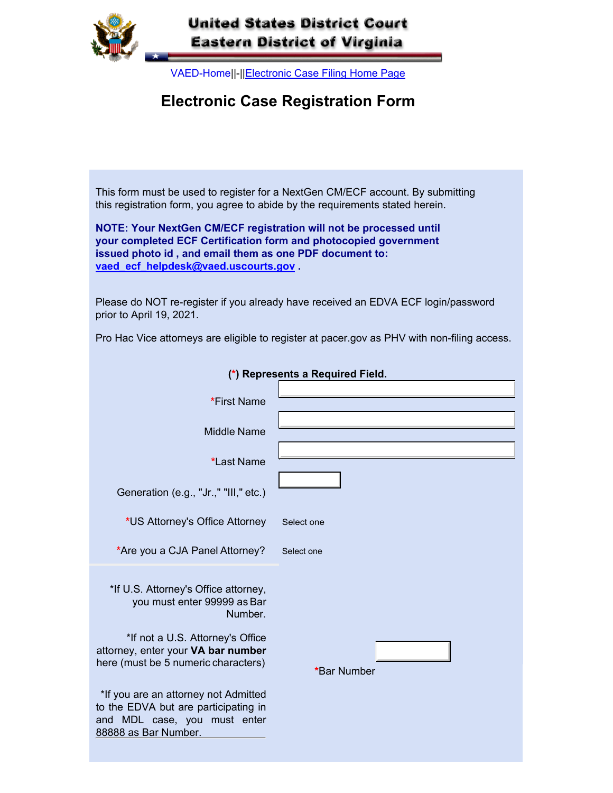

## **United States District Court Eastern District of Virginia**

VAED-Home||-||Electronic Case Filing Home Page

## **Electronic Case Registration Form**

This form must be used to register for a NextGen CM/ECF account. By submitting this registration form, you agree to abide by the requirements stated herein.

**NOTE: Your NextGen CM/ECF registration will not be processed until your completed ECF Certification form and photocopied government issued photo id , and email them as one PDF document to: vaed\_ecf\_helpdesk@vaed.uscourts.gov .**

Please do NOT re-register if you already have received an EDVA ECF login/password prior to April 19, 2021.

Pro Hac Vice attorneys are eligible to register at pacer.gov as PHV with non-filing access.

| (*) Represents a Required Field.                                                                                                                                                                |             |  |  |
|-------------------------------------------------------------------------------------------------------------------------------------------------------------------------------------------------|-------------|--|--|
| *First Name                                                                                                                                                                                     |             |  |  |
| <b>Middle Name</b>                                                                                                                                                                              |             |  |  |
| *Last Name                                                                                                                                                                                      |             |  |  |
| Generation (e.g., "Jr.," "III," etc.)                                                                                                                                                           |             |  |  |
| *US Attorney's Office Attorney                                                                                                                                                                  | Select one  |  |  |
| *Are you a CJA Panel Attorney?                                                                                                                                                                  | Select one  |  |  |
| *If U.S. Attorney's Office attorney,<br>you must enter 99999 as Bar<br>Number.<br>*If not a U.S. Attorney's Office<br>attorney, enter your VA bar number<br>here (must be 5 numeric characters) | *Bar Number |  |  |
| *If you are an attorney not Admitted<br>to the EDVA but are participating in<br>and MDL case, you must enter<br>88888 as Bar Number.                                                            |             |  |  |